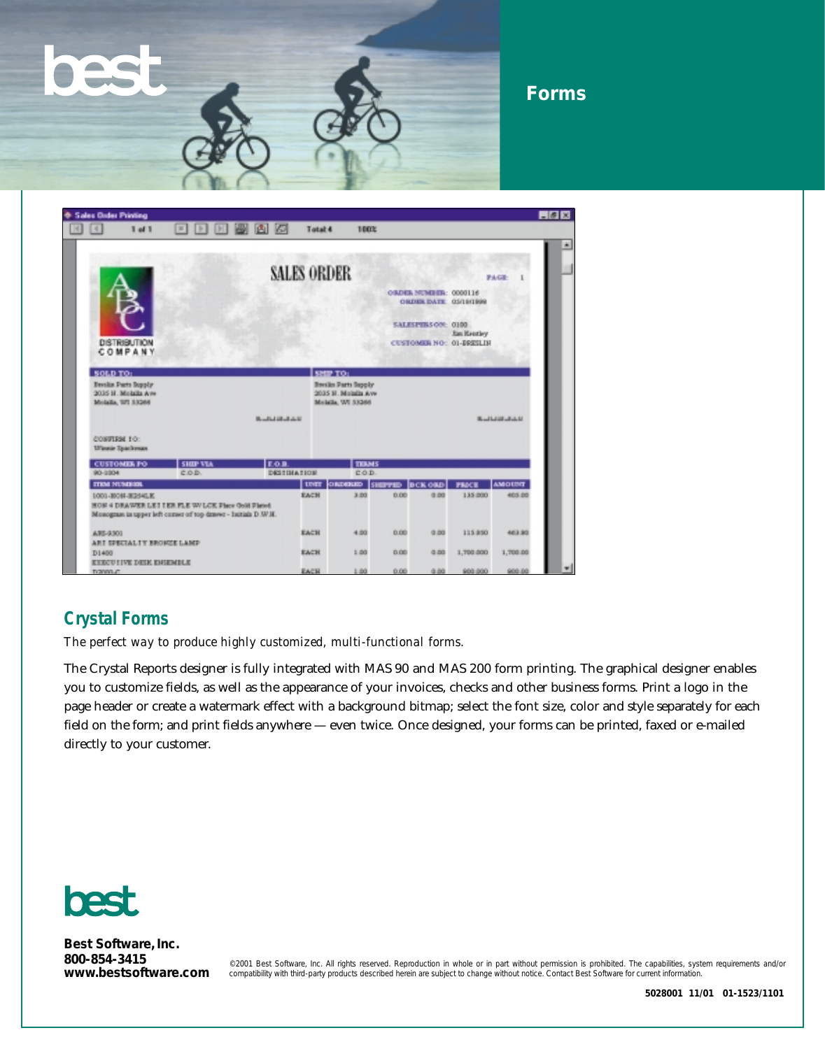# **Forms**

| <sup>6</sup> Sales Dader Printing              |                                                                   |                                                                                                                     |                          |             |                                                                       |                                             |                    |                                                      |               | 608 |
|------------------------------------------------|-------------------------------------------------------------------|---------------------------------------------------------------------------------------------------------------------|--------------------------|-------------|-----------------------------------------------------------------------|---------------------------------------------|--------------------|------------------------------------------------------|---------------|-----|
| ×                                              | $1$ of $1$                                                        | $\vert u \vert$<br> P <br>$\mathbb{P}$                                                                              | 画<br><b>IS</b>           | Tatal 4     | 100%                                                                  |                                             |                    |                                                      |               |     |
|                                                |                                                                   |                                                                                                                     |                          |             |                                                                       |                                             |                    |                                                      |               |     |
|                                                |                                                                   | <b>SALES ORDER</b>                                                                                                  |                          |             |                                                                       | ORDER NUMBER: 0000116<br>ORDER DATE GEORGEO |                    |                                                      | PAGE          |     |
|                                                | <b>DISTRIBUTION</b><br>COMPANY                                    |                                                                                                                     |                          |             |                                                                       |                                             | SALESPERS ON: 0100 | <b>Jan Rentley</b><br><b>CUSTOMER NO: 01-BRESLIN</b> |               |     |
| SOLD TO:                                       |                                                                   |                                                                                                                     |                          |             | <b>SHIP TO:</b>                                                       |                                             |                    |                                                      |               |     |
|                                                | Breslin Parts Supply<br>2016 H. Molalla Ave<br>Molaika, 197 53266 |                                                                                                                     |                          |             | <b>Books Parts Supply</b><br>2035 H. Molalis Ave<br>Melalla, WI 53266 |                                             |                    |                                                      |               |     |
| <b>CONTIGHTO:</b><br><b>Ul'immie Spachenan</b> |                                                                   |                                                                                                                     | <b>Buildid at July 1</b> |             |                                                                       |                                             |                    |                                                      | <b>BULLER</b> |     |
| <b>CUSTOMIR PO</b>                             |                                                                   | <b>SHIP VIA</b>                                                                                                     | <b>EOR</b>               |             | <b>TIBMS</b>                                                          |                                             |                    |                                                      |               |     |
| 80-3004                                        |                                                                   | COD.                                                                                                                | DESTINATION              |             | COD.                                                                  |                                             |                    |                                                      |               |     |
| <b>TTEM NUMBER</b>                             |                                                                   |                                                                                                                     |                          | <b>UNIT</b> | ORDERID                                                               | <b>SHEPPED</b>                              | <b>DCK ORD</b>     | <b>PRACE</b>                                         | <b>AMOUNT</b> |     |
|                                                | 1001-10041-1254LK                                                 | HON 4 DRAWER LET I ER FLE W/LCK Place Gold Planet<br>Monogram in upper left corner of top drawer - Initials D .W.H. |                          | EACH        | 3.00                                                                  | 0.00                                        | 0.00               | 135,000                                              | 405.00        |     |
| AT5-9301                                       | ARE SPECIAL IT BROKEE LAMP                                        |                                                                                                                     |                          | EACH        | 4.00                                                                  | 0.00                                        | 0.00               | 115 850                                              | 463.93        |     |
| D1400                                          | <b>EXECUTIVE DESK ENSEMBLE</b>                                    |                                                                                                                     |                          | EACH        | 1.00                                                                  | 0.00                                        | 0.00               | 1,700.000                                            | 1,700.00      |     |
| monenum.                                       |                                                                   |                                                                                                                     |                          | <b>EACH</b> | 1.00                                                                  | 0.00                                        | 0.00               | 900,000                                              | 900.00        |     |

# **Crystal Forms**

*The perfect way to produce highly customized, multi-functional forms.*

The Crystal Reports designer is fully integrated with MAS 90 and MAS 200 form printing. The graphical designer enables you to customize fields, as well as the appearance of your invoices, checks and other business forms. Print a logo in the page header or create a watermark effect with a background bitmap; select the font size, color and style separately for each field on the form; and print fields anywhere — even twice. Once designed, your forms can be printed, faxed or e-mailed directly to your customer.



**Best Software, Inc. 800-854-3415**

©2001 Best Software, Inc. All rights reserved. Reproduction in whole or in part without permission is prohibited. The capabilities, system requirements and/or<br>WWW.bestsoftware.com compatibility with third-party products de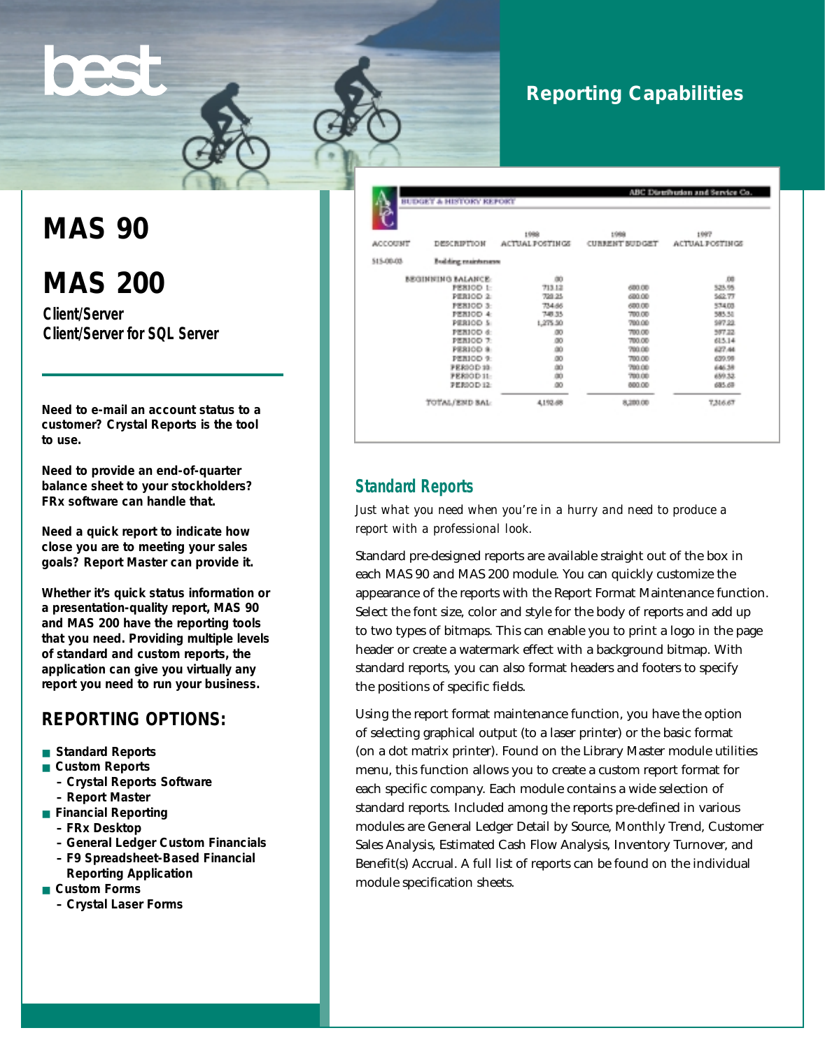# **Reporting Capabilities**

# **MAS 90**

# **MAS 200**

**Client/Server Client/Server for SQL Server**

**Need to e-mail an account status to a customer? Crystal Reports is the tool to use.**

**Need to provide an end-of-quarter balance sheet to your stockholders? FRx software can handle that.**

**Need a quick report to indicate how close you are to meeting your sales goals? Report Master can provide it.**

**Whether it's quick status information or a presentation-quality report, MAS 90 and MAS 200 have the reporting tools that you need. Providing multiple levels of standard and custom reports, the application can give you virtually any report you need to run your business.**

#### **REPORTING OPTIONS:**

- **Standard Reports**
- **Custom Reports** 
	- **Crystal Reports Software**
	- **Report Master**
- **Financial Reporting**
	- **FRx Desktop**
	- **General Ledger Custom Financials**
	- **F9 Spreadsheet-Based Financial**
	- **Reporting Application**
- **Custom Forms** 
	- **Crystal Laser Forms**

|                   | <b>BUDGET &amp; HISTORY REPORT</b> |                                | ABC Distribution and Service Co. |                         |  |  |
|-------------------|------------------------------------|--------------------------------|----------------------------------|-------------------------|--|--|
| <b>ACCOUNT</b>    | <b>DESCRIPTION</b>                 | 1988<br><b>ACTUAL POSTINGS</b> | 1988<br><b>CURRENT BUDGET</b>    | 1997<br>ACTUAL POSTINGS |  |  |
| 515-00-03         | <b>Budding maintenance</b>         |                                |                                  |                         |  |  |
|                   | <b>BEGINNING BALANCE:</b>          | œ                              |                                  | .08                     |  |  |
|                   | PERIOD 1:                          | 713.12                         | 600.00                           | 525.95                  |  |  |
|                   | PERIOD <sub>2</sub>                | 739.25                         | 600.00                           | 562.77                  |  |  |
|                   | PERIOD 3:                          | 734.66                         | 600.00                           | 57403                   |  |  |
|                   | PERIOD 4:                          | 748.35                         | 700.00                           | 585.51                  |  |  |
|                   | PERIOD 5                           | 1,275.50                       | 700.00                           | 597.22.                 |  |  |
|                   | PERIOD 6:                          | .00                            | 700.00                           | 507.22                  |  |  |
|                   | PERIOD <sub>7</sub>                | œ                              | 700.00                           | 615.14                  |  |  |
|                   | PERIOD &                           | dó.                            | 700.00                           | 627.44                  |  |  |
|                   | PERIOD 9:                          | 80                             | 700.00                           | 639.98                  |  |  |
|                   | <b>FERIOD 10:</b>                  |                                | 700.00                           | 646.38                  |  |  |
|                   | <b>FERIOD 11:</b>                  | ao<br>ao                       | 700.00                           | 659.32.                 |  |  |
| <b>PERIOD 12:</b> |                                    | 80                             | 800.00                           | 685.69                  |  |  |
|                   | TOTAL/END BAL:                     | 4,192.68                       | 8,280.00                         | 7,316,67                |  |  |

## **Standard Reports**

*Just what you need when you're in a hurry and need to produce a report with a professional look.*

Standard pre-designed reports are available straight out of the box in each MAS 90 and MAS 200 module. You can quickly customize the appearance of the reports with the Report Format Maintenance function. Select the font size, color and style for the body of reports and add up to two types of bitmaps. This can enable you to print a logo in the page header or create a watermark effect with a background bitmap. With standard reports, you can also format headers and footers to specify the positions of specific fields.

Using the report format maintenance function, you have the option of selecting graphical output (to a laser printer) or the basic format (on a dot matrix printer). Found on the Library Master module utilities menu, this function allows you to create a custom report format for each specific company. Each module contains a wide selection of standard reports. Included among the reports pre-defined in various modules are General Ledger Detail by Source, Monthly Trend, Customer Sales Analysis, Estimated Cash Flow Analysis, Inventory Turnover, and Benefit(s) Accrual. A full list of reports can be found on the individual module specification sheets.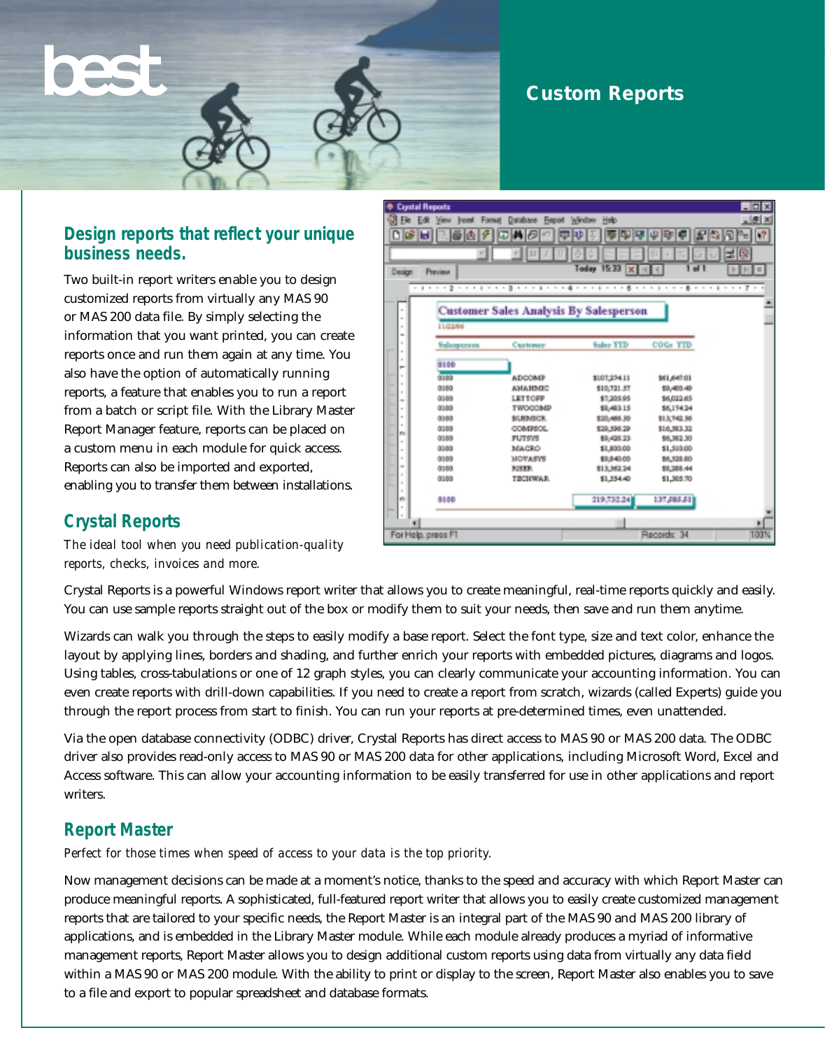# **Custom Reports**

## **Design reports that reflect your unique business needs.**

Two built-in report writers enable you to design customized reports from virtually any MAS 90 or MAS 200 data file. By simply selecting the information that you want printed, you can create reports once and run them again at any time. You also have the option of automatically running reports, a feature that enables you to run a report from a batch or script file. With the Library Master Report Manager feature, reports can be placed on a custom menu in each module for quick access. Reports can also be imported and exported, enabling you to transfer them between installations.



#### **Crystal Reports**

*The ideal tool when you need publication-quality reports, checks, invoices and more.*

Crystal Reports is a powerful Windows report writer that allows you to create meaningful, real-time reports quickly and easily. You can use sample reports straight out of the box or modify them to suit your needs, then save and run them anytime.

Wizards can walk you through the steps to easily modify a base report. Select the font type, size and text color, enhance the layout by applying lines, borders and shading, and further enrich your reports with embedded pictures, diagrams and logos. Using tables, cross-tabulations or one of 12 graph styles, you can clearly communicate your accounting information. You can even create reports with drill-down capabilities. If you need to create a report from scratch, wizards (called Experts) guide you through the report process from start to finish. You can run your reports at pre-determined times, even unattended.

Via the open database connectivity (ODBC) driver, Crystal Reports has direct access to MAS 90 or MAS 200 data. The ODBC driver also provides read-only access to MAS 90 or MAS 200 data for other applications, including Microsoft Word, Excel and Access software. This can allow your accounting information to be easily transferred for use in other applications and report writers.

# **Report Master**

*Perfect for those times when speed of access to your data is the top priority.*

Now management decisions can be made at a moment's notice, thanks to the speed and accuracy with which Report Master can produce meaningful reports. A sophisticated, full-featured report writer that allows you to easily create customized management reports that are tailored to your specific needs, the Report Master is an integral part of the MAS 90 and MAS 200 library of applications, and is embedded in the Library Master module. While each module already produces a myriad of informative management reports, Report Master allows you to design additional custom reports using data from virtually any data field within a MAS 90 or MAS 200 module. With the ability to print or display to the screen, Report Master also enables you to save to a file and export to popular spreadsheet and database formats.